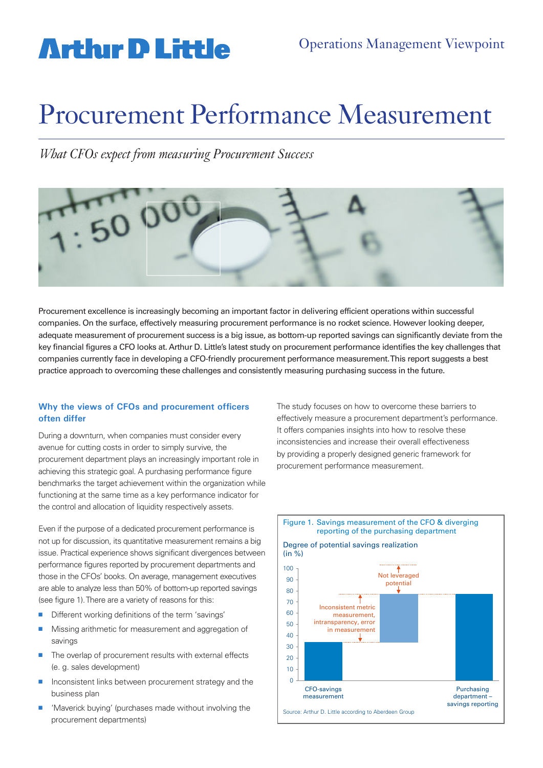# **Arthur D Little**

# Procurement Performance Measurement

*What CFOs expect from measuring Procurement Success*



Procurement excellence is increasingly becoming an important factor in delivering efficient operations within successful companies. On the surface, effectively measuring procurement performance is no rocket science. However looking deeper, adequate measurement of procurement success is a big issue, as bottom-up reported savings can significantly deviate from the key financial figures a CFO looks at. Arthur D. Little's latest study on procurement performance identifies the key challenges that companies currently face in developing a CFO-friendly procurement performance measurement. This report suggests a best practice approach to overcoming these challenges and consistently measuring purchasing success in the future.

### **Why the views of CFOs and procurement officers often differ**

During a downturn, when companies must consider every avenue for cutting costs in order to simply survive, the procurement department plays an increasingly important role in achieving this strategic goal. A purchasing performance figure benchmarks the target achievement within the organization while functioning at the same time as a key performance indicator for the control and allocation of liquidity respectively assets.

Even if the purpose of a dedicated procurement performance is not up for discussion, its quantitative measurement remains a big issue. Practical experience shows significant divergences between performance figures reported by procurement departments and those in the CFOs' books. On average, management executives are able to analyze less than 50% of bottom-up reported savings (see figure 1). There are a variety of reasons for this:

- Different working definitions of the term 'savings'
- **n** Missing arithmetic for measurement and aggregation of savings
- $\blacksquare$  The overlap of procurement results with external effects (e. g. sales development)
- $\blacksquare$  Inconsistent links between procurement strategy and the business plan
- 'Maverick buying' (purchases made without involving the procurement departments)

The study focuses on how to overcome these barriers to effectively measure a procurement department's performance. It offers companies insights into how to resolve these inconsistencies and increase their overall effectiveness by providing a properly designed generic framework for procurement performance measurement.

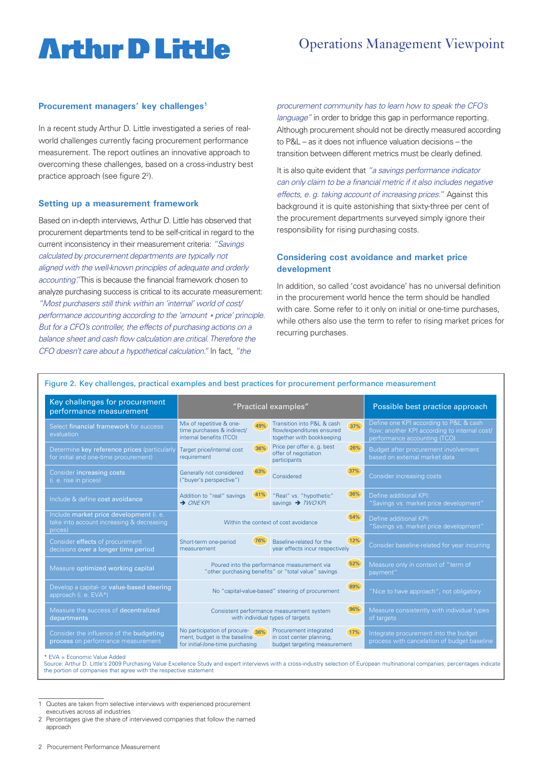# **Artlur D Little**

## Operations Management Viewpoint

#### **Procurement managers' key challenges1**

In a recent study Arthur D. Little investigated a series of realworld challenges currently facing procurement performance measurement. The report outlines an innovative approach to overcoming these challenges, based on a cross-industry best practice approach (see figure 2<sup>2</sup>).

#### **Setting up a measurement framework**

Based on in-depth interviews, Arthur D. Little has observed that procurement departments tend to be self-critical in regard to the current inconsistency in their measurement criteria: "Savings calculated by procurement departments are typically not aligned with the well-known principles of adequate and orderly accounting." This is because the financial framework chosen to analyze purchasing success is critical to its accurate measurement: "Most purchasers still think within an 'internal' world of cost/ performance accounting according to the 'amount \* price' principle. But for a CFO's controller, the effects of purchasing actions on a balance sheet and cash flow calculation are critical. Therefore the CFO doesn't care about a hypothetical calculation." In fact, "the

#### procurement community has to learn how to speak the CFO's

language" in order to bridge this gap in performance reporting. Although procurement should not be directly measured according to P&L – as it does not influence valuation decisions – the transition between different metrics must be clearly defined.

It is also quite evident that "a savings performance indicator can only claim to be a financial metric if it also includes negative effects, e. g. taking account of increasing prices." Against this background it is quite astonishing that sixty-three per cent of the procurement departments surveyed simply ignore their responsibility for rising purchasing costs.

### **Considering cost avoidance and market price development**

In addition, so called 'cost avoidance' has no universal definition in the procurement world hence the term should be handled with care. Some refer to it only on initial or one-time purchases. while others also use the term to refer to rising market prices for recurring purchases.

#### Figure 2. Key challenges, practical examples and best practices for procurement performance measurement

| Key challenges for procurement<br>performance measurement                                       | "Practical examples"                                                                                       |                                                                                             | Possible best practice approach                                                                                         |
|-------------------------------------------------------------------------------------------------|------------------------------------------------------------------------------------------------------------|---------------------------------------------------------------------------------------------|-------------------------------------------------------------------------------------------------------------------------|
| Select financial framework for success<br>evaluation                                            | Mix of repetitive & one-<br>49%<br>time purchases & indirect/<br>internal benefits (TCO)                   | Transition into P&L & cash<br>37%<br>flow/expenditures ensured<br>together with bookkeeping | Define one KPI according to P&L & cash<br>flow; another KPI according to internal cost/<br>performance accounting (TCO) |
| Determine key reference prices (particularly<br>for initial and one-time procurement)           | 36%<br>Target price/internal cost<br>requirement                                                           | Price per offer e. q. best<br>26%<br>offer of negotiation<br>participants                   | Budget after procurement involvement<br>based on external market data                                                   |
| Consider increasing costs<br>(i. e. rise in prices)                                             | 63%<br>Generally not considered<br>("buyer's perspective")                                                 | 37%<br>Considered                                                                           | Consider increasing costs                                                                                               |
| Include & define cost avoidance                                                                 | 41%<br>Addition to "real" savings<br>$\rightarrow$ ONE KPI                                                 | 36%<br>"Real" vs. "hypothetic"<br>savings $\rightarrow$ TWO KPI                             | Define additional KPI:<br>"Savings vs. market price development"                                                        |
| Include market price development (i. e.<br>take into account increasing & decreasing<br>prices) | 54%<br>Within the context of cost avoidance                                                                |                                                                                             | Define additional KPI:<br>"Savings vs. market price development"                                                        |
| Consider effects of procurement<br>decisions over a longer time period                          | 76%<br>Short-term one-period<br>measurement                                                                | 12%<br>Baseline-related for the<br>year effects incur respectively                          | Consider baseline-related for year incurring                                                                            |
| Measure optimized working capital                                                               | 52%<br>Poured into the performance measurement via<br>"other purchasing benefits" or "total value" savings |                                                                                             | Measure only in context of "term of<br>payment"                                                                         |
| Develop a capital- or value-based steering<br>approach (i. e. EVA*)                             | 89%<br>No "capital-value-based" steering of procurement                                                    |                                                                                             | "Nice to have approach", not obligatory                                                                                 |
| Measure the success of decentralized<br>departments                                             | 96%<br>Consistent performance measurement system<br>with individual types of targets                       |                                                                                             | Measure consistently with individual types<br>of targets                                                                |
| Consider the influence of the budgeting<br>process on performance measurement                   | No participation of procure- 36%<br>ment, budget is the baseline<br>for initial-/one-time purchasing       | Procurement integrated<br>17%<br>in cost center planning,<br>budget targeting measurement   | Integrate procurement into the budget<br>process with cancelation of budget baseline                                    |

\* EVA = Economic Value Added

Source: Arthur D. Little's 2009 Purchasing Value Excellence Study and expert interviews with a cross-industry selection of European multinational companies; percentages indicate the portion of companies that agree with the respective statement

2 Percentages give the share of interviewed companies that follow the named approach

<sup>1</sup> Quotes are taken from selective interviews with experienced procurement executives across all industries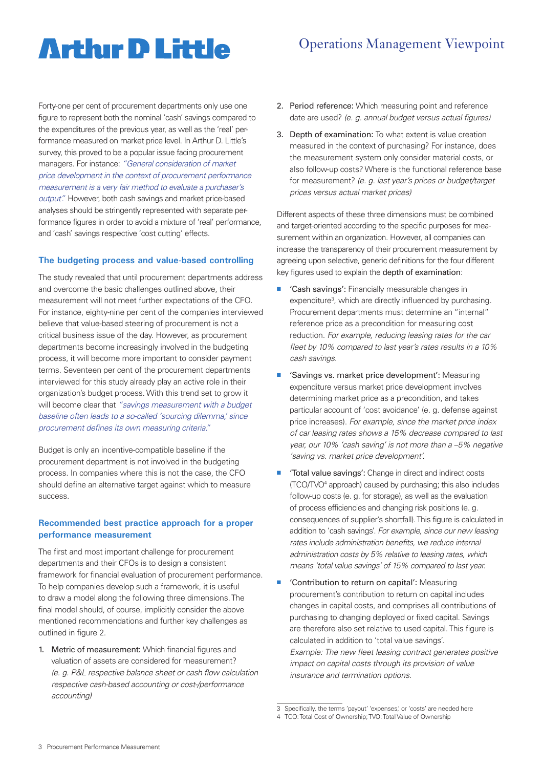# **Artlur D Little**

## Operations Management Viewpoint

Forty-one per cent of procurement departments only use one figure to represent both the nominal 'cash' savings compared to the expenditures of the previous year, as well as the 'real' performance measured on market price level. In Arthur D. Little's survey, this proved to be a popular issue facing procurement managers. For instance: "General consideration of market price development in the context of procurement performance measurement is a very fair method to evaluate a purchaser's output." However, both cash savings and market price-based analyses should be stringently represented with separate performance figures in order to avoid a mixture of 'real' performance, and 'cash' savings respective 'cost cutting' effects.

### **The budgeting process and value-based controlling**

The study revealed that until procurement departments address and overcome the basic challenges outlined above, their measurement will not meet further expectations of the CFO. For instance, eighty-nine per cent of the companies interviewed believe that value-based steering of procurement is not a critical business issue of the day. However, as procurement departments become increasingly involved in the budgeting process, it will become more important to consider payment terms. Seventeen per cent of the procurement departments interviewed for this study already play an active role in their organization's budget process. With this trend set to grow it will become clear that "savings measurement with a budget baseline often leads to a so-called 'sourcing dilemma,' since procurement defines its own measuring criteria."

Budget is only an incentive-compatible baseline if the procurement department is not involved in the budgeting process. In companies where this is not the case, the CFO should define an alternative target against which to measure success.

### **Recommended best practice approach for a proper performance measurement**

The first and most important challenge for procurement departments and their CFOs is to design a consistent framework for financial evaluation of procurement performance. To help companies develop such a framework, it is useful to draw a model along the following three dimensions. The final model should, of course, implicitly consider the above mentioned recommendations and further key challenges as outlined in figure 2.

1. Metric of measurement: Which financial figures and valuation of assets are considered for measurement? (e. g. P&L respective balance sheet or cash flow calculation respective cash-based accounting or cost-/performance accounting)

- 2. Period reference: Which measuring point and reference date are used? (e. g. annual budget versus actual figures)
- 3. Depth of examination: To what extent is value creation measured in the context of purchasing? For instance, does the measurement system only consider material costs, or also follow-up costs? Where is the functional reference base for measurement? (e. g. last year's prices or budget/target prices versus actual market prices)

Different aspects of these three dimensions must be combined and target-oriented according to the specific purposes for measurement within an organization. However, all companies can increase the transparency of their procurement measurement by agreeing upon selective, generic definitions for the four different key figures used to explain the depth of examination:

- 'Cash savings': Financially measurable changes in expenditure<sup>3</sup>, which are directly influenced by purchasing. Procurement departments must determine an "internal" reference price as a precondition for measuring cost reduction. For example, reducing leasing rates for the car fleet by 10% compared to last year's rates results in a 10% cash savings.
- 'Savings vs. market price development': Measuring expenditure versus market price development involves determining market price as a precondition, and takes particular account of 'cost avoidance' (e. g. defense against price increases). For example, since the market price index of car leasing rates shows a 15% decrease compared to last year, our 10% 'cash saving' is not more than a –5% negative 'saving vs. market price development'.
- 'Total value savings': Change in direct and indirect costs (TCO/TVO4 approach) caused by purchasing; this also includes follow-up costs (e. g. for storage), as well as the evaluation of process efficiencies and changing risk positions (e. g. consequences of supplier's shortfall). This figure is calculated in addition to 'cash savings'. For example, since our new leasing rates include administration benefits, we reduce internal administration costs by 5% relative to leasing rates, which means 'total value savings' of 15% compared to last year.
- 'Contribution to return on capital': Measuring procurement's contribution to return on capital includes changes in capital costs, and comprises all contributions of purchasing to changing deployed or fixed capital. Savings are therefore also set relative to used capital. This figure is calculated in addition to 'total value savings'. Example: The new fleet leasing contract generates positive impact on capital costs through its provision of value insurance and termination options.

<sup>3</sup> Specifically, the terms 'payout' 'expenses,' or 'costs' are needed here

<sup>4</sup> TCO: Total Cost of Ownership; TVO: Total Value of Ownership